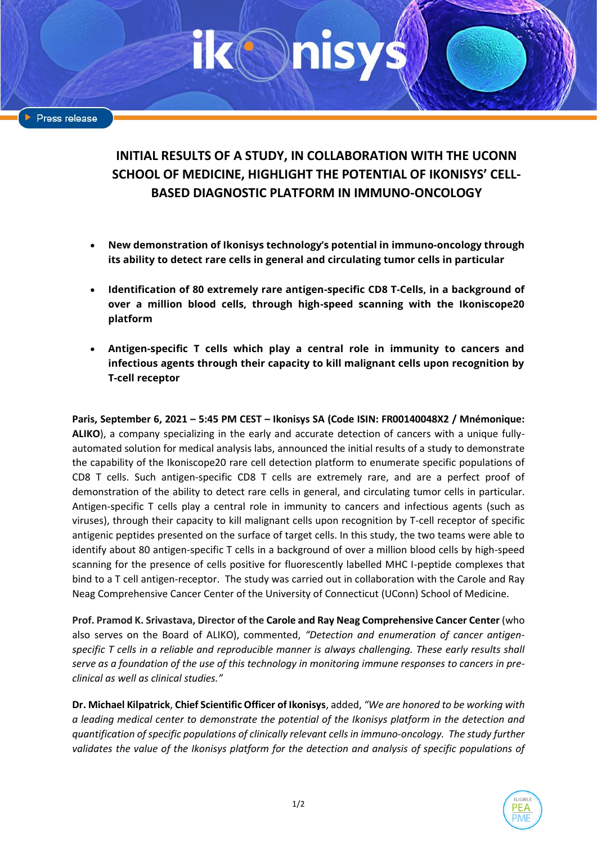# **INITIAL RESULTS OF A STUDY, IN COLLABORATION WITH THE UCONN SCHOOL OF MEDICINE, HIGHLIGHT THE POTENTIAL OF IKONISYS' CELL-BASED DIAGNOSTIC PLATFORM IN IMMUNO-ONCOLOGY**

- **New demonstration of Ikonisys technology's potential in immuno-oncology through its ability to detect rare cells in general and circulating tumor cells in particular**
- **Identification of 80 extremely rare antigen-specific CD8 T-Cells, in a background of over a million blood cells, through high-speed scanning with the Ikoniscope20 platform**
- **Antigen-specific T cells which play a central role in immunity to cancers and infectious agents through their capacity to kill malignant cells upon recognition by T-cell receptor**

**Paris, September 6, 2021 – 5:45 PM CEST – Ikonisys SA (Code ISIN: FR00140048X2 / Mnémonique: ALIKO**), a company specializing in the early and accurate detection of cancers with a unique fullyautomated solution for medical analysis labs, announced the initial results of a study to demonstrate the capability of the Ikoniscope20 rare cell detection platform to enumerate specific populations of CD8 T cells. Such antigen-specific CD8 T cells are extremely rare, and are a perfect proof of demonstration of the ability to detect rare cells in general, and circulating tumor cells in particular. Antigen-specific T cells play a central role in immunity to cancers and infectious agents (such as viruses), through their capacity to kill malignant cells upon recognition by T-cell receptor of specific antigenic peptides presented on the surface of target cells. In this study, the two teams were able to identify about 80 antigen-specific T cells in a background of over a million blood cells by high-speed scanning for the presence of cells positive for fluorescently labelled MHC I-peptide complexes that bind to a T cell antigen-receptor. The study was carried out in collaboration with the Carole and Ray Neag Comprehensive Cancer Center of the University of Connecticut (UConn) School of Medicine.

**Prof. Pramod K. Srivastava, Director of the Carole and Ray Neag Comprehensive Cancer Center** (who also serves on the Board of ALIKO), commented, *"Detection and enumeration of cancer antigenspecific T cells in a reliable and reproducible manner is always challenging. These early results shall serve as a foundation of the use of this technology in monitoring immune responses to cancers in preclinical as well as clinical studies."*

**Dr. Michael Kilpatrick**, **Chief Scientific Officer of Ikonisys**, added, *"We are honored to be working with a leading medical center to demonstrate the potential of the Ikonisys platform in the detection and quantification of specific populations of clinically relevant cells in immuno-oncology. The study further*  validates the value of the Ikonisys platform for the detection and analysis of specific populations of